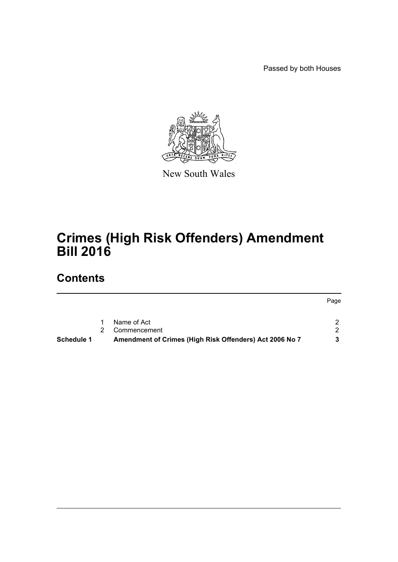Passed by both Houses



New South Wales

# **Crimes (High Risk Offenders) Amendment Bill 2016**

## **Contents**

|                   |                                                         | Page |
|-------------------|---------------------------------------------------------|------|
|                   |                                                         |      |
|                   | Name of Act                                             |      |
|                   | Commencement                                            | - 20 |
| <b>Schedule 1</b> | Amendment of Crimes (High Risk Offenders) Act 2006 No 7 |      |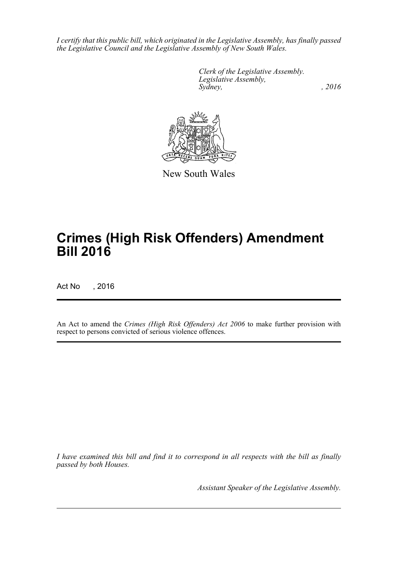*I certify that this public bill, which originated in the Legislative Assembly, has finally passed the Legislative Council and the Legislative Assembly of New South Wales.*

> *Clerk of the Legislative Assembly. Legislative Assembly, Sydney,* , 2016



New South Wales

## **Crimes (High Risk Offenders) Amendment Bill 2016**

Act No , 2016

An Act to amend the *Crimes (High Risk Offenders) Act 2006* to make further provision with respect to persons convicted of serious violence offences.

*I have examined this bill and find it to correspond in all respects with the bill as finally passed by both Houses.*

*Assistant Speaker of the Legislative Assembly.*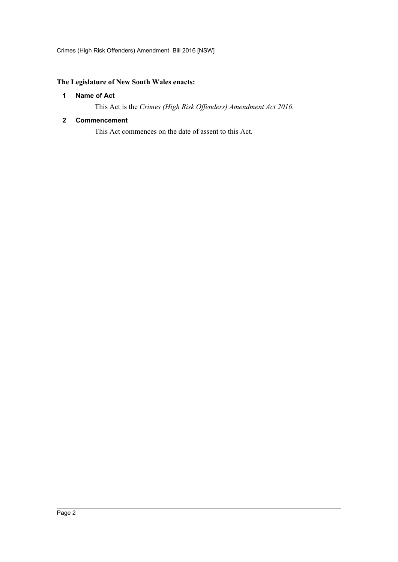## <span id="page-2-0"></span>**The Legislature of New South Wales enacts:**

### **1 Name of Act**

This Act is the *Crimes (High Risk Offenders) Amendment Act 2016*.

#### <span id="page-2-1"></span>**2 Commencement**

This Act commences on the date of assent to this Act.